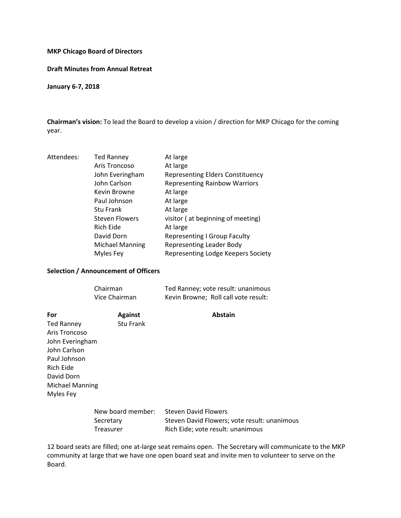### **MKP Chicago Board of Directors**

#### **Draft Minutes from Annual Retreat**

**January 6-7, 2018** 

**Chairman's vision:** To lead the Board to develop a vision / direction for MKP Chicago for the coming year.

| Attendees: | <b>Ted Ranney</b>      | At large                                |
|------------|------------------------|-----------------------------------------|
|            | Aris Troncoso          | At large                                |
|            | John Everingham        | <b>Representing Elders Constituency</b> |
|            | John Carlson           | <b>Representing Rainbow Warriors</b>    |
|            | Kevin Browne           | At large                                |
|            | Paul Johnson           | At large                                |
|            | <b>Stu Frank</b>       | At large                                |
|            | <b>Steven Flowers</b>  | visitor (at beginning of meeting)       |
|            | Rich Eide              | At large                                |
|            | David Dorn             | <b>Representing I Group Faculty</b>     |
|            | <b>Michael Manning</b> | <b>Representing Leader Body</b>         |
|            | Myles Fey              | Representing Lodge Keepers Society      |
|            |                        |                                         |

# **Selection / Announcement of Officers**

| Chairman      | Ted Ranney; vote result: unanimous   |
|---------------|--------------------------------------|
| Vice Chairman | Kevin Browne; Roll call vote result: |

| For                    | <b>Against</b>    | <b>Abstain</b>              |
|------------------------|-------------------|-----------------------------|
| <b>Ted Ranney</b>      | Stu Frank         |                             |
| Aris Troncoso          |                   |                             |
| John Everingham        |                   |                             |
| John Carlson           |                   |                             |
| Paul Johnson           |                   |                             |
| Rich Eide              |                   |                             |
| David Dorn             |                   |                             |
| <b>Michael Manning</b> |                   |                             |
| Myles Fey              |                   |                             |
|                        |                   |                             |
|                        | New board member: | <b>Steven David Flowers</b> |

| New board member: | Steven David Flowers                         |
|-------------------|----------------------------------------------|
| Secretary         | Steven David Flowers; vote result: unanimous |
| Treasurer         | Rich Eide; vote result: unanimous            |

12 board seats are filled; one at-large seat remains open. The Secretary will communicate to the MKP community at large that we have one open board seat and invite men to volunteer to serve on the Board.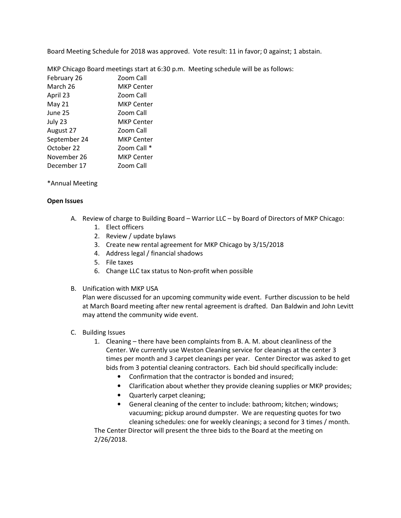Board Meeting Schedule for 2018 was approved. Vote result: 11 in favor; 0 against; 1 abstain.

|              | MKP Chicago Board meetings start at 6:30 p.m. Meeting schedule will be as follows: |
|--------------|------------------------------------------------------------------------------------|
| February 26  | Zoom Call                                                                          |
| March 26     | <b>MKP Center</b>                                                                  |
| April 23     | Zoom Call                                                                          |
| May $21$     | <b>MKP Center</b>                                                                  |
| June 25      | Zoom Call                                                                          |
| July 23      | <b>MKP Center</b>                                                                  |
| August 27    | Zoom Call                                                                          |
| September 24 | <b>MKP Center</b>                                                                  |
| October 22   | Zoom Call *                                                                        |
| November 26  | <b>MKP Center</b>                                                                  |
| December 17  | Zoom Call                                                                          |
|              |                                                                                    |

### \*Annual Meeting

### **Open Issues**

- A. Review of charge to Building Board Warrior LLC by Board of Directors of MKP Chicago:
	- 1. Elect officers
	- 2. Review / update bylaws
	- 3. Create new rental agreement for MKP Chicago by 3/15/2018
	- 4. Address legal / financial shadows
	- 5. File taxes
	- 6. Change LLC tax status to Non-profit when possible
- B. Unification with MKP USA

Plan were discussed for an upcoming community wide event. Further discussion to be held at March Board meeting after new rental agreement is drafted. Dan Baldwin and John Levitt may attend the community wide event.

- C. Building Issues
	- 1. Cleaning there have been complaints from B. A. M. about cleanliness of the Center. We currently use Weston Cleaning service for cleanings at the center 3 times per month and 3 carpet cleanings per year. Center Director was asked to get bids from 3 potential cleaning contractors. Each bid should specifically include:
		- Confirmation that the contractor is bonded and insured;
		- Clarification about whether they provide cleaning supplies or MKP provides;
		- Quarterly carpet cleaning;
		- General cleaning of the center to include: bathroom; kitchen; windows; vacuuming; pickup around dumpster. We are requesting quotes for two cleaning schedules: one for weekly cleanings; a second for 3 times / month.

The Center Director will present the three bids to the Board at the meeting on 2/26/2018.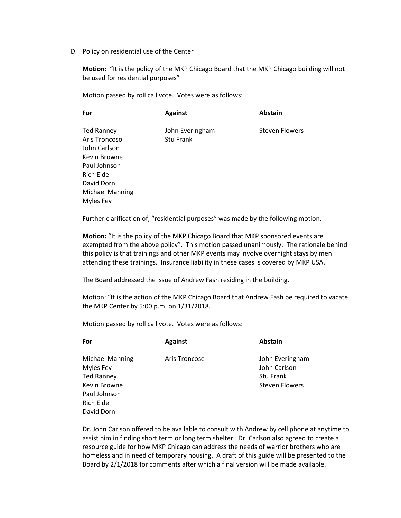D. Policy on residential use of the Center

**Motion:** "It is the policy of the MKP Chicago Board that the MKP Chicago building will not be used for residential purposes"

Motion passed by roll call vote. Votes were as follows:

| For               | <b>Against</b>  | <b>Abstain</b>        |
|-------------------|-----------------|-----------------------|
| <b>Ted Ranney</b> | John Everingham | <b>Steven Flowers</b> |
| Aris Troncoso     | Stu Frank       |                       |
| John Carlson      |                 |                       |
| Kevin Browne      |                 |                       |
| Paul Johnson      |                 |                       |
| Rich Eide         |                 |                       |
| David Dorn        |                 |                       |
| Michael Manning   |                 |                       |
| Myles Fey         |                 |                       |

Further clarification of, "residential purposes" was made by the following motion.

**Motion:** "It is the policy of the MKP Chicago Board that MKP sponsored events are exempted from the above policy". This motion passed unanimously. The rationale behind this policy is that trainings and other MKP events may involve overnight stays by men attending these trainings. Insurance liability in these cases is covered by MKP USA.

The Board addressed the issue of Andrew Fash residing in the building.

Motion: "It is the action of the MKP Chicago Board that Andrew Fash be required to vacate the MKP Center by 5:00 p.m. on 1/31/2018.

Motion passed by roll call vote. Votes were as follows:

| For                                                                                                   | <b>Against</b> | Abstain                                                                      |
|-------------------------------------------------------------------------------------------------------|----------------|------------------------------------------------------------------------------|
| <b>Michael Manning</b><br>Myles Fey<br><b>Ted Ranney</b><br>Kevin Browne<br>Paul Johnson<br>Rich Eide | Aris Troncose  | John Everingham<br>John Carlson<br><b>Stu Frank</b><br><b>Steven Flowers</b> |
| David Dorn                                                                                            |                |                                                                              |

Dr. John Carlson offered to be available to consult with Andrew by cell phone at anytime to assist him in finding short term or long term shelter. Dr. Carlson also agreed to create a resource guide for how MKP Chicago can address the needs of warrior brothers who are homeless and in need of temporary housing. A draft of this guide will be presented to the Board by 2/1/2018 for comments after which a final version will be made available.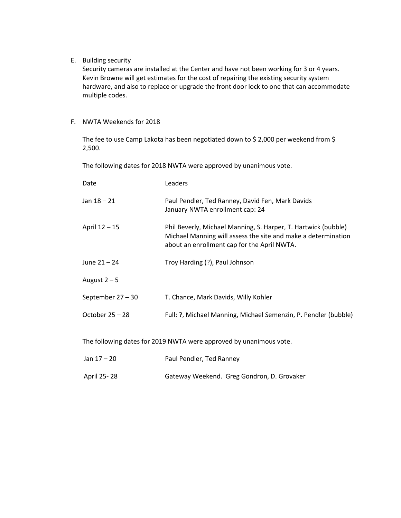E. Building security

Security cameras are installed at the Center and have not been working for 3 or 4 years. Kevin Browne will get estimates for the cost of repairing the existing security system hardware, and also to replace or upgrade the front door lock to one that can accommodate multiple codes.

F. NWTA Weekends for 2018

The fee to use Camp Lakota has been negotiated down to \$ 2,000 per weekend from \$ 2,500.

The following dates for 2018 NWTA were approved by unanimous vote.

| Date                | Leaders                                                                                                                                                                        |
|---------------------|--------------------------------------------------------------------------------------------------------------------------------------------------------------------------------|
| Jan $18 - 21$       | Paul Pendler, Ted Ranney, David Fen, Mark Davids<br>January NWTA enrollment cap: 24                                                                                            |
| April 12 - 15       | Phil Beverly, Michael Manning, S. Harper, T. Hartwick (bubble)<br>Michael Manning will assess the site and make a determination<br>about an enrollment cap for the April NWTA. |
| June $21 - 24$      | Troy Harding (?), Paul Johnson                                                                                                                                                 |
| August $2-5$        |                                                                                                                                                                                |
| September $27 - 30$ | T. Chance, Mark Davids, Willy Kohler                                                                                                                                           |
| October $25 - 28$   | Full: ?, Michael Manning, Michael Semenzin, P. Pendler (bubble)                                                                                                                |
|                     |                                                                                                                                                                                |

The following dates for 2019 NWTA were approved by unanimous vote.

| Jan 17 – 20 | Paul Pendler, Ted Ranney                   |
|-------------|--------------------------------------------|
| April 25-28 | Gateway Weekend. Greg Gondron, D. Grovaker |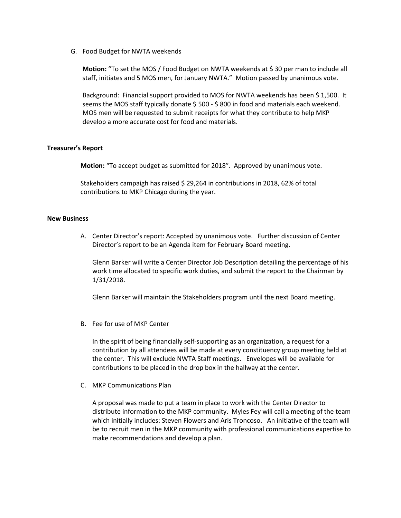G. Food Budget for NWTA weekends

**Motion:** "To set the MOS / Food Budget on NWTA weekends at \$ 30 per man to include all staff, initiates and 5 MOS men, for January NWTA." Motion passed by unanimous vote.

Background: Financial support provided to MOS for NWTA weekends has been \$ 1,500. It seems the MOS staff typically donate \$ 500 - \$ 800 in food and materials each weekend. MOS men will be requested to submit receipts for what they contribute to help MKP develop a more accurate cost for food and materials.

### **Treasurer's Report**

 **Motion:** "To accept budget as submitted for 2018". Approved by unanimous vote.

Stakeholders campaigh has raised \$ 29,264 in contributions in 2018, 62% of total contributions to MKP Chicago during the year.

#### **New Business**

A. Center Director's report: Accepted by unanimous vote. Further discussion of Center Director's report to be an Agenda item for February Board meeting.

Glenn Barker will write a Center Director Job Description detailing the percentage of his work time allocated to specific work duties, and submit the report to the Chairman by 1/31/2018.

Glenn Barker will maintain the Stakeholders program until the next Board meeting.

B. Fee for use of MKP Center

In the spirit of being financially self-supporting as an organization, a request for a contribution by all attendees will be made at every constituency group meeting held at the center. This will exclude NWTA Staff meetings. Envelopes will be available for contributions to be placed in the drop box in the hallway at the center.

C. MKP Communications Plan

A proposal was made to put a team in place to work with the Center Director to distribute information to the MKP community. Myles Fey will call a meeting of the team which initially includes: Steven Flowers and Aris Troncoso. An initiative of the team will be to recruit men in the MKP community with professional communications expertise to make recommendations and develop a plan.